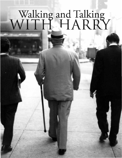# Walking ITH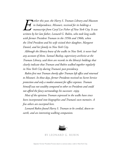*arlier this year, the Harry S. Truman Library and Museum in Independence, Missouri, received for its holdings a manuscript from Caryl Lee Fisher of New York City. It was written by her late father, Leonard G. Rubin, who took long walks with former President Truman in the 1950s and 1960s, when the 33rd President and his wife visited their daughter, Margaret Daniel, and her family in New York City. E*

*Although the library knew of the walks in New York, it never had any account of them. Samuel Rushay, supervisory archivist at the Truman Library, said there are records in the library's holdings that clearly indicate that Truman and Rubin walked together regularly in New York City during Truman's post-presidency.*

*Rubin first met Truman shortly after Truman left office and returned to Missouri. In those days, former Presidents received no Secret Service protection and only a modest amount for office expenses. Truman himself was not wealthy compared to other ex-Presidents and could not afford the fancy surroundings his successors enjoy.*

*Most of the opinions Truman expressed in the walks have since been incorporated into biographies and Truman's own memoirs. A few others are excerpted here.*

*Leonard Rubin found Harry S. Truman to be cordial, down-toearth, and an interesting walking companion.*



By Leonard G. Rubin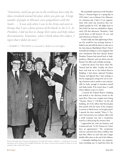*"Sometimes, until you get out in the world you have only the ideas circulated around the place where you grew up. A large number of people in Missouri were sympathizers with the South. . . . It was only when I was in the Army and went to Europe that I saw a fairer picture of the blacks in the U.S. As President, I did my best to change their status and help reduce discrimination. Sometimes, when I think about this subject, I regret that I didn't do more."*

—HARRY S. TRUMAN to Leonard G. Rubin on civil rights.



Former President Harry Truman, emerging from his New York hotel, is asked for a comment on the third anniversary of his firing of Gen. Douglas MacArthur. The author of this article, Leonard G. Rubin, is at left, waiting to take a walk with Truman.

My remarkable experiences with President Harry S. Truman began on a spring day in 1953 when I was in Kansas City, Missouri, on a business trip. I had a 9 a.m. appointment with some top executives that concluded quickly by 9:45. My flight back to New York City was not scheduled to depart until 2:30 that afternoon. Therefore, I had several hours to kill between 10 a.m. and early afternoon in Kansas City.

 I wasn't really sure that sightseeing in Kansas City would be very exciting; however, I hailed a taxi and told the driver to take me to the then-famous Muehlebach Hotel. Then I remembered reading in a news magazine that since Eisenhower had been elected, former President Truman had moved back to Independence, Missouri, and was driven into his Kansas City office each weekday morning.

I asked the driver if he knew where Mr. Truman had his office. Luckily, the driver knew and took me to the Federal Reserve Building. I had always admired President Truman and figured that I had nothing to lose by stopping by, seeing if he was in, leaving a business card or maybe a note and possibly be lucky enough to introduce myself and shake hands. If he wasn't there, I could always sightsee or go to a movie.

 I entered the Federal Reserve building and looked at the directory board on the main floor. There was a simple entry listing "Truman, Harry S. 11th floor." In this old building, all of the offices had frosted glass door panels with the name of the company or person in black letters on the glass panel. I opened the door marked "Harry S. Truman" and entered a very ordinary office with a small reception area and a receptionist seated at a desk facing the entrance door.

I approached her with my business card in hand and said, "Is Mr. Truman in? I don't have an appointment." The receptionist took my card and went down a hallway that had three offices on each side and a larger double office door at the end of the hallway.

 I remember thinking how very unpretentious everything was. It could have been the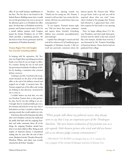office of any small business establishment or law firm. The fact that it was located in the Federal Reserve Building meant that it would not cost the government any rent or use any of the allowance given to ex-Presidents for office space. [In those days, ex-Presidents received no pension, and Truman received only a \$112.56 a month military pension until Congress passed the Former Presidents Act of 1958, which provided a presidential pension. He also had no Secret Service protection until the assassination of President Kennedy.]

## **Truman Begins Visit with Insights Into Lincoln's Gettysburg Address**

In keeping with his reputation, Mr. Truman was frugal about spending government funds, even when he was no longer in office. As a senator, during the war, he had saved the government hundreds of millions of dollars by heading a committee that reviewed defense contracts.

 Looking to my left, I watched as the receptionist knocked on the door of the double office at the end of the hallway, entered and stepped out of sight. A moment later, Mr. Truman stepped out of his office and, seeing me looking in that direction, motioned for me to come in.

I couldn't believe my luck that, not only was President Truman there at that particular time, but he was also willing to see me. I thought that he would probably give me a few minutes and send me on my way. Since I had asked to see him, I needed to think of an opening remark that would explain my visit.

 It has been observed by historians that often after a new President is elected, the media and the public find fault with the outgoing President and make comments about all of the things the outgoing President should have done or not done while in office. Being an avid student of American history, I remembered reading that for years after the end of their terms, Abraham Lincoln, Theodore Roosevelt, Woodrow Wilson, and others were severely criticized for all of their "mistakes."

Therefore, my opening remark was "Thank you for seeing me, Mr. Truman. I wanted to tell you that I am certain that historians will treat you much better than your contemporaries."

 To my surprise, Truman's instant reply was "Did you know that many comments and reports about Lincoln's Gettysburg Address were extremely uncomplimentary and insulting?"

I replied that although I owned and had read all six volumes of Carl Sandburg's great biography of Abraham Lincoln, I did not recall any particular comments about the famous speech. Mr. Truman said, "When you get home, look it up and you will be surprised about what you read." Later, when I looked at the passages that Truman had referred to, I appreciated what a brilliant response he had made to my opening remark.

Next, we began talking about U.S. history, Presidents, and what made them great. An hour went by, which, at the time, seemed like a few minutes. Another hour went by. I was fascinated by Mr. Truman's knowledge of American history. I knew that he had not graduated from college.



Then-Senator Harry S. Truman, an avid reader of history, in his Senate office about 1940.

*"When people talk about my political career, they always seem to say that I was an important part of the 'Pendergast Machine.' My own honest evaluation of my position was as a pip-squeak, little-known person who tried and did an honest job as an obscure judge [county commissioner]."*

—TRUMAN TO RUBIN on charges that as a U.S. senator, he was a puppet of the corrupt Pendergast machine in Kansas City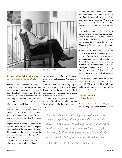

President Truman reads on the Truman Balcony of the White House in 1952.

## **Impromptu Visit Ends with Invitation To Join Truman in New York Walks**

However, this two-hour conversation changed my entire image of former President Truman, whom, until that point, I had believed to be an intelligent, self-taught individual. Mr. Truman stunned me with his knowledge of American history, past Presidents, and his understanding of the details of congressional legislation.

For example, he was an expert on every detail concerning the Missouri Compromise (States admitted to the union after 1820 would be admitted in pairs, one slave and one free to maintain the balance). He knew the exact statutes in the law books concerning this matter, including the names of the legislators involved. He also had a complete understanding of the impact of the Missouri Compromise on the states admitted to the union after 1820, especially during the Civil War years.

Truman had an excellent memory and often remembered small details about topics

that interested him in the areas of economics, sociology, and education. After our chat, I believed that he could have easily been the chairman of the American History Department at Harvard University! At that point, I concluded that the opening remark that I had agonized over had been the perfect one to touch off our discussion.

 Finally, Mr. Truman glanced at his watch and said, "We will have to end this interesting conversation. The 'boss' will be expecting me."

I knew that he was referring to his wife, Bess, with whom he had lunch every day at their home in Independence. As we left his office together, he asked me, "Can I give you a lift?" I replied, "No thank you. I like to walk, and my hotel is just a short distance away."

We walked out of the office, followed by the man assigned to guard the ex-President. Truman commented, "You like to walk? I come to New York from time to time to visit my daughter. She. . . lives on the east side of Manhattan. I'll have my secretary drop you a line and tell you the next time I am in town. I stay at the Carlyle Hotel, and you can come over and we'll walk and talk again."

 I was flattered by Truman's interest in continuing our discussions. I told him that I owned the biography of him written by Hillman. "If I had known that I was going to see you, I would have brought it along for you to autograph," I said. Truman replied, "Send it to me. I'll sign it and send it back to you."

We reached the street where his car and driver were waiting. He shook my hand and said, "I'll see you in New York," got in his car with the guard, who sat with the driver and drove back to Independence.

# **Several Months Pass; A Postcard Arrives**

I returned to New York, doubting that a man as busy as a former President of the

*"Franklin Roosevelt and George Marshall made a great choice in appointing him Supreme Allied Commander during World War II. He had to get along with the Allied heads of state as well as their military leaders. . . . [As President,] he deliberately believed that a low profile for himself and the U.S. government would suit the times."*

—TRUMAN TO RUBIN on Dwight D. Eisenhower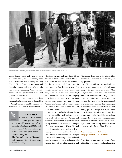

Truman (second from left) chats with the press as he takes a walk in New York City in 1962.

United States would really take the time to contact me again about walking with him. Nevertheless, the possibility of being Harry S. Truman's walking companion and discussing history and public affairs again was extremely appealing. Would it really happen? Would I get the invitation he had promised in Kansas City?

The answer to my questions came about two months after our meeting in Kansas City.

A simple postcard from Mr. Truman's secretary said, "Mr. Truman will be at the Car-



# **To learn more about. . .**

• Truman's post-presidency activities, go to the "Truman at 125" issue of *Prologue* at *www.archives. gov/publications/prologue/2009/spring/.*

- • Harry Truman's favorite pastime, go to *www.archives.gov/publications/ prologue/2003/spring/.*
- • The Truman Library and Museum in Independence, Missouri, go to *www. trumanlibrary.org.*

lyle Hotel on such and such dates. Please be down in the lobby at 7:00 a.m. Mr. Truman's walks usually last 30–40 minutes." On the date mentioned, I made certain that I was in the Carlyle lobby at least a few minutes before 7 since I was certainly not going to keep the former President waiting! Mr. Truman was in the habit of changing his walking routes every day, sometimes walking uptown or downtown on Madison Avenue, into Central Park or farther east to Park Avenue, Lexington Avenue, or Third or Second Avenues.

I was still having difficulty believing that an ordinary person like myself had the opportunity to talk with a former U.S. President and directly ask him the kinds of questions that a history buff like myself would ask. I thought of our first conversation in Kansas City and the wide range of topics we had covered, particularly about politics and the office of the President and its former occupants. I thought that it would be interesting, if these walks did indeed continue over time, to follow one subject at a time with me asking questions and

Mr. Truman doing most of the talking either off the cuff or answering and commenting on my questions.

Mr. Truman did not like small talk but loved to talk about current political issues along with past historical events. What Congress was or was not doing currently and what then-President Dwight Eisenhower was saying and the newspaper positions on the events of the day were topics of interest to him. I realized that Truman got early delivery of the *New York Times* and had already glanced through the paper before our walk began. I made a mental note that on any future walks, I would be sure to look through the paper as well, paying particular attention to what was happening in Washington, D.C., and noting any other world events that related to the United States.

# **Truman Boasts That He's Read Biographies of all U.S. Presidents**

Over time, we developed a routine of my asking him to comment on a broad question